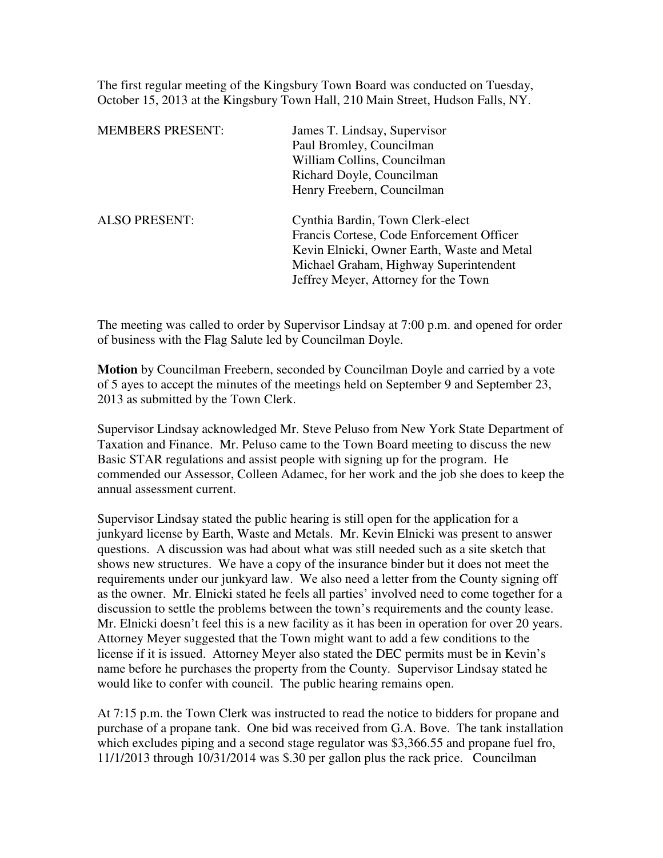The first regular meeting of the Kingsbury Town Board was conducted on Tuesday, October 15, 2013 at the Kingsbury Town Hall, 210 Main Street, Hudson Falls, NY.

| <b>MEMBERS PRESENT:</b> | James T. Lindsay, Supervisor                |
|-------------------------|---------------------------------------------|
|                         | Paul Bromley, Councilman                    |
|                         | William Collins, Councilman                 |
|                         | Richard Doyle, Councilman                   |
|                         | Henry Freebern, Councilman                  |
| <b>ALSO PRESENT:</b>    | Cynthia Bardin, Town Clerk-elect            |
|                         | Francis Cortese, Code Enforcement Officer   |
|                         | Kevin Elnicki, Owner Earth, Waste and Metal |
|                         | Michael Graham, Highway Superintendent      |
|                         | Jeffrey Meyer, Attorney for the Town        |
|                         |                                             |

The meeting was called to order by Supervisor Lindsay at 7:00 p.m. and opened for order of business with the Flag Salute led by Councilman Doyle.

**Motion** by Councilman Freebern, seconded by Councilman Doyle and carried by a vote of 5 ayes to accept the minutes of the meetings held on September 9 and September 23, 2013 as submitted by the Town Clerk.

Supervisor Lindsay acknowledged Mr. Steve Peluso from New York State Department of Taxation and Finance. Mr. Peluso came to the Town Board meeting to discuss the new Basic STAR regulations and assist people with signing up for the program. He commended our Assessor, Colleen Adamec, for her work and the job she does to keep the annual assessment current.

Supervisor Lindsay stated the public hearing is still open for the application for a junkyard license by Earth, Waste and Metals. Mr. Kevin Elnicki was present to answer questions. A discussion was had about what was still needed such as a site sketch that shows new structures. We have a copy of the insurance binder but it does not meet the requirements under our junkyard law. We also need a letter from the County signing off as the owner. Mr. Elnicki stated he feels all parties' involved need to come together for a discussion to settle the problems between the town's requirements and the county lease. Mr. Elnicki doesn't feel this is a new facility as it has been in operation for over 20 years. Attorney Meyer suggested that the Town might want to add a few conditions to the license if it is issued. Attorney Meyer also stated the DEC permits must be in Kevin's name before he purchases the property from the County. Supervisor Lindsay stated he would like to confer with council. The public hearing remains open.

At 7:15 p.m. the Town Clerk was instructed to read the notice to bidders for propane and purchase of a propane tank. One bid was received from G.A. Bove. The tank installation which excludes piping and a second stage regulator was \$3,366.55 and propane fuel fro, 11/1/2013 through 10/31/2014 was \$.30 per gallon plus the rack price. Councilman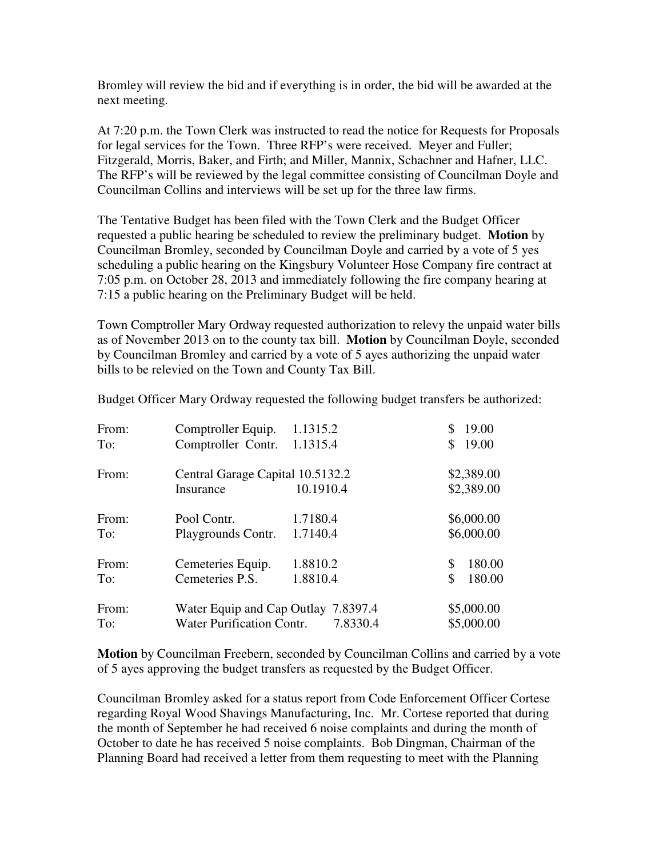Bromley will review the bid and if everything is in order, the bid will be awarded at the next meeting.

At 7:20 p.m. the Town Clerk was instructed to read the notice for Requests for Proposals for legal services for the Town. Three RFP's were received. Meyer and Fuller; Fitzgerald, Morris, Baker, and Firth; and Miller, Mannix, Schachner and Hafner, LLC. The RFP's will be reviewed by the legal committee consisting of Councilman Doyle and Councilman Collins and interviews will be set up for the three law firms.

The Tentative Budget has been filed with the Town Clerk and the Budget Officer requested a public hearing be scheduled to review the preliminary budget. **Motion** by Councilman Bromley, seconded by Councilman Doyle and carried by a vote of 5 yes scheduling a public hearing on the Kingsbury Volunteer Hose Company fire contract at 7:05 p.m. on October 28, 2013 and immediately following the fire company hearing at 7:15 a public hearing on the Preliminary Budget will be held.

Town Comptroller Mary Ordway requested authorization to relevy the unpaid water bills as of November 2013 on to the county tax bill. **Motion** by Councilman Doyle, seconded by Councilman Bromley and carried by a vote of 5 ayes authorizing the unpaid water bills to be relevied on the Town and County Tax Bill.

| From:<br>To: | Comptroller Equip.<br>Comptroller Contr. | 1.1315.2<br>1.1315.4 | 19.00<br>19.00<br>\$ |
|--------------|------------------------------------------|----------------------|----------------------|
|              |                                          |                      |                      |
| From:        | Central Garage Capital 10.5132.2         |                      | \$2,389.00           |
|              | Insurance                                | 10.1910.4            | \$2,389.00           |
| From:        | Pool Contr.                              | 1.7180.4             | \$6,000.00           |
| To:          | Playgrounds Contr.                       | 1.7140.4             | \$6,000.00           |
| From:        | Cemeteries Equip.                        | 1.8810.2             | 180.00<br>\$         |
| To:          | Cemeteries P.S.                          | 1.8810.4             | \$<br>180.00         |
| From:        | Water Equip and Cap Outlay 7.8397.4      | \$5,000.00           |                      |
| To:          | Water Purification Contr.<br>7.8330.4    |                      | \$5,000.00           |

Budget Officer Mary Ordway requested the following budget transfers be authorized:

**Motion** by Councilman Freebern, seconded by Councilman Collins and carried by a vote of 5 ayes approving the budget transfers as requested by the Budget Officer.

Councilman Bromley asked for a status report from Code Enforcement Officer Cortese regarding Royal Wood Shavings Manufacturing, Inc. Mr. Cortese reported that during the month of September he had received 6 noise complaints and during the month of October to date he has received 5 noise complaints. Bob Dingman, Chairman of the Planning Board had received a letter from them requesting to meet with the Planning